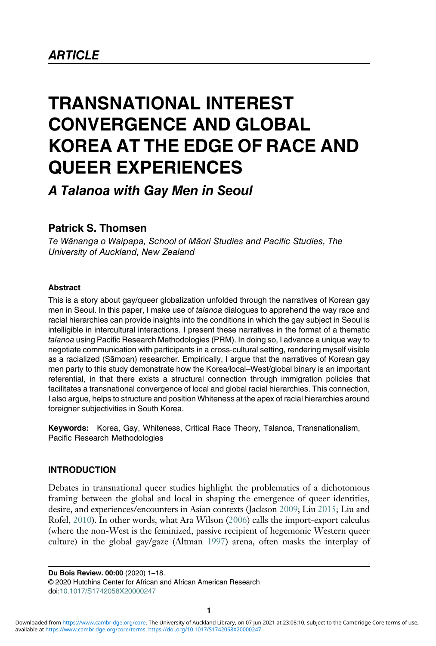# TRANSNATIONAL INTEREST CONVERGENCE AND GLOBAL KOREA AT THE EDGE OF RACE AND QUEER EXPERIENCES

## A Talanoa with Gay Men in Seoul

### Patrick S. Thomsen

Te Wānanga o Waipapa, School of Māori Studies and Pacific Studies, The University of Auckland, New Zealand

#### Abstract

This is a story about gay/queer globalization unfolded through the narratives of Korean gay men in Seoul. In this paper, I make use of talanoa dialogues to apprehend the way race and racial hierarchies can provide insights into the conditions in which the gay subject in Seoul is intelligible in intercultural interactions. I present these narratives in the format of a thematic talanoa using Pacific Research Methodologies (PRM). In doing so, I advance a unique way to negotiate communication with participants in a cross-cultural setting, rendering myself visible as a racialized (Sāmoan) researcher. Empirically, I argue that the narratives of Korean gay men party to this study demonstrate how the Korea/local–West/global binary is an important referential, in that there exists a structural connection through immigration policies that facilitates a transnational convergence of local and global racial hierarchies. This connection, I also argue, helps to structure and position Whiteness at the apex of racial hierarchies around foreigner subjectivities in South Korea.

Keywords: Korea, Gay, Whiteness, Critical Race Theory, Talanoa, Transnationalism, Pacific Research Methodologies

#### INTRODUCTION

Debates in transnational queer studies highlight the problematics of a dichotomous framing between the global and local in shaping the emergence of queer identities, desire, and experiences/encounters in Asian contexts (Jackson [2009](#page-15-0); Liu [2015;](#page-16-0) Liu and Rofel, [2010](#page-16-1)). In other words, what Ara Wilson [\(2006](#page-17-0)) calls the import-export calculus (where the non-West is the feminized, passive recipient of hegemonic Western queer culture) in the global gay/gaze (Altman [1997](#page-14-0)) arena, often masks the interplay of

Du Bois Review. 00:00 (2020) 1–18. © 2020 Hutchins Center for African and African American Research doi:[10.1017/S1742058X20000247](https://doi.org/10.1017/S1742058X20000247)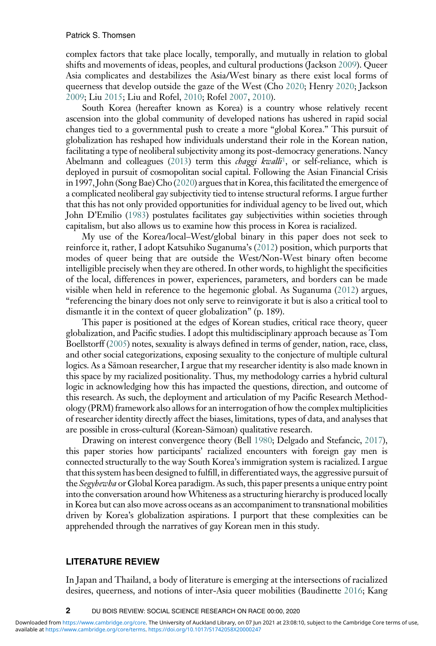complex factors that take place locally, temporally, and mutually in relation to global shifts and movements of ideas, peoples, and cultural productions (Jackson [2009\)](#page-15-0). Queer Asia complicates and destabilizes the Asia/West binary as there exist local forms of queerness that develop outside the gaze of the West (Cho [2020](#page-15-1); Henry [2020](#page-15-2); Jackson [2009;](#page-15-0) Liu [2015;](#page-16-0) Liu and Rofel, [2010](#page-16-1); Rofel [2007](#page-16-2), [2010\)](#page-16-3).

South Korea (hereafter known as Korea) is a country whose relatively recent ascension into the global community of developed nations has ushered in rapid social changes tied to a governmental push to create a more "global Korea." This pursuit of globalization has reshaped how individuals understand their role in the Korean nation, facilitating a type of neoliberal subjectivity among its post-democracy generations. Nancy Abelmann and colleagues [\(2013](#page-14-1)) term this *chaggi kwalli*<sup>[1](#page-14-2)</sup>, or self-reliance, which is deployed in pursuit of cosmopolitan social capital. Following the Asian Financial Crisis in 1997, John (Song Bae) Cho ([2020\)](#page-15-1) argues that in Korea, this facilitated the emergence of a complicated neoliberal gay subjectivity tied to intense structural reforms. I argue further that this has not only provided opportunities for individual agency to be lived out, which John D'Emilio ([1983\)](#page-15-3) postulates facilitates gay subjectivities within societies through capitalism, but also allows us to examine how this process in Korea is racialized.

My use of the Korea/local–West/global binary in this paper does not seek to reinforce it, rather, I adopt Katsuhiko Suganuma's [\(2012\)](#page-17-1) position, which purports that modes of queer being that are outside the West/Non-West binary often become intelligible precisely when they are othered. In other words, to highlight the specificities of the local, differences in power, experiences, parameters, and borders can be made visible when held in reference to the hegemonic global. As Suganuma [\(2012\)](#page-17-1) argues, "referencing the binary does not only serve to reinvigorate it but is also a critical tool to dismantle it in the context of queer globalization" (p. 189).

This paper is positioned at the edges of Korean studies, critical race theory, queer globalization, and Pacific studies. I adopt this multidisciplinary approach because as Tom Boellstorff ([2005\)](#page-14-3) notes, sexuality is always defined in terms of gender, nation, race, class, and other social categorizations, exposing sexuality to the conjecture of multiple cultural logics. As a Sāmoan researcher, I argue that my researcher identity is also made known in this space by my racialized positionality. Thus, my methodology carries a hybrid cultural logic in acknowledging how this has impacted the questions, direction, and outcome of this research. As such, the deployment and articulation of my Pacific Research Methodology (PRM) framework also allows for an interrogation of how the complex multiplicities of researcher identity directly affect the biases, limitations, types of data, and analyses that are possible in cross-cultural (Korean-Sāmoan) qualitative research.

Drawing on interest convergence theory (Bell [1980](#page-14-4); Delgado and Stefancic, [2017\)](#page-15-4), this paper stories how participants' racialized encounters with foreign gay men is connected structurally to the way South Korea's immigration system is racialized. I argue that this system has been designed to fulfill, in differentiated ways, the aggressive pursuit of the Segyhewha or Global Korea paradigm. As such, this paper presents a unique entry point into the conversation around howWhiteness as a structuring hierarchy is produced locally in Korea but can also move across oceans as an accompaniment to transnational mobilities driven by Korea's globalization aspirations. I purport that these complexities can be apprehended through the narratives of gay Korean men in this study.

#### LITERATURE REVIEW

In Japan and Thailand, a body of literature is emerging at the intersections of racialized desires, queerness, and notions of inter-Asia queer mobilities (Baudinette [2016](#page-14-5); Kang

2 DU BOIS REVIEW: SOCIAL SCIENCE RESEARCH ON RACE 00:00, 2020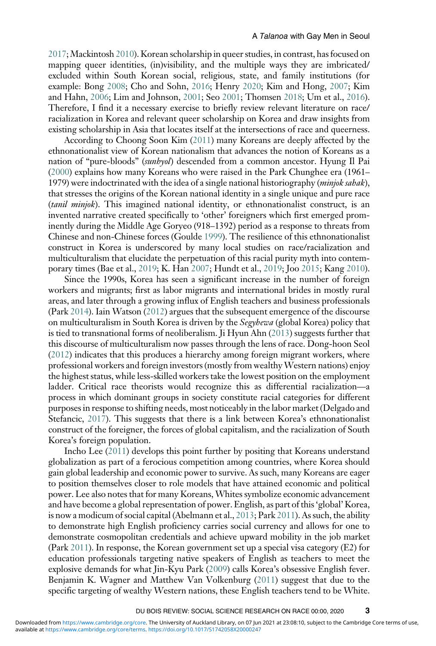[2017](#page-15-5); Mackintosh [2010](#page-16-4)). Korean scholarship in queer studies, in contrast, has focused on mapping queer identities, (in)visibility, and the multiple ways they are imbricated/ excluded within South Korean social, religious, state, and family institutions (for example: Bong [2008;](#page-14-6) Cho and Sohn, [2016](#page-14-7); Henry [2020](#page-15-2); Kim and Hong, [2007](#page-16-5); Kim and Hahn, [2006](#page-16-6); Lim and Johnson, [2001;](#page-16-7) Seo [2001](#page-16-8); Thomsen [2018;](#page-17-2) Um et al., [2016\)](#page-17-3). Therefore, I find it a necessary exercise to briefly review relevant literature on race/ racialization in Korea and relevant queer scholarship on Korea and draw insights from existing scholarship in Asia that locates itself at the intersections of race and queerness.

According to Choong Soon Kim [\(2011\)](#page-16-9) many Koreans are deeply affected by the ethnonationalist view of Korean nationalism that advances the notion of Koreans as a nation of "pure-bloods" (sunhyol) descended from a common ancestor. Hyung Il Pai ([2000](#page-16-10)) explains how many Koreans who were raised in the Park Chunghee era (1961– 1979) were indoctrinated with the idea of a single national historiography (*minjok sahak*), that stresses the origins of the Korean national identity in a single unique and pure race (tanil minjok). This imagined national identity, or ethnonationalist construct, is an invented narrative created specifically to 'other' foreigners which first emerged prominently during the Middle Age Goryeo (918–1392) period as a response to threats from Chinese and non-Chinese forces (Goulde [1999\)](#page-15-6). The resilience of this ethnonationalist construct in Korea is underscored by many local studies on race/racialization and multiculturalism that elucidate the perpetuation of this racial purity myth into contemporary times (Bae et al., [2019;](#page-14-8) K. Han [2007;](#page-15-7) Hundt et al., [2019](#page-15-8); Joo [2015;](#page-15-9) Kang [2010\)](#page-15-10).

Since the 1990s, Korea has seen a significant increase in the number of foreign workers and migrants; first as labor migrants and international brides in mostly rural areas, and later through a growing influx of English teachers and business professionals (Park [2014\)](#page-16-11). Iain Watson [\(2012\)](#page-17-4) argues that the subsequent emergence of the discourse on multiculturalism in South Korea is driven by the Segyhewa (global Korea) policy that is tied to transnational forms of neoliberalism. Ji Hyun Ahn ([2013\)](#page-14-9) suggests further that this discourse of multiculturalism now passes through the lens of race. Dong-hoon Seol ([2012](#page-16-12)) indicates that this produces a hierarchy among foreign migrant workers, where professional workers and foreign investors (mostly from wealthy Western nations) enjoy the highest status, while less-skilled workers take the lowest position on the employment ladder. Critical race theorists would recognize this as differential racialization—a process in which dominant groups in society constitute racial categories for different purposes in response to shifting needs, most noticeably in the labor market (Delgado and Stefancic, [2017](#page-15-4)). This suggests that there is a link between Korea's ethnonationalist construct of the foreigner, the forces of global capitalism, and the racialization of South Korea's foreign population.

Incho Lee ([2011\)](#page-16-13) develops this point further by positing that Koreans understand globalization as part of a ferocious competition among countries, where Korea should gain global leadership and economic power to survive. As such, many Koreans are eager to position themselves closer to role models that have attained economic and political power. Lee also notes that for many Koreans, Whites symbolize economic advancement and have become a global representation of power. English, as part of this 'global' Korea, is now a modicum of social capital (Abelmann et al., [2013;](#page-14-1) Park [2011](#page-16-14)). As such, the ability to demonstrate high English proficiency carries social currency and allows for one to demonstrate cosmopolitan credentials and achieve upward mobility in the job market (Park [2011\)](#page-16-14). In response, the Korean government set up a special visa category (E2) for education professionals targeting native speakers of English as teachers to meet the explosive demands for what Jin-Kyu Park ([2009](#page-16-15)) calls Korea's obsessive English fever. Benjamin K. Wagner and Matthew Van Volkenburg ([2011\)](#page-17-5) suggest that due to the specific targeting of wealthy Western nations, these English teachers tend to be White.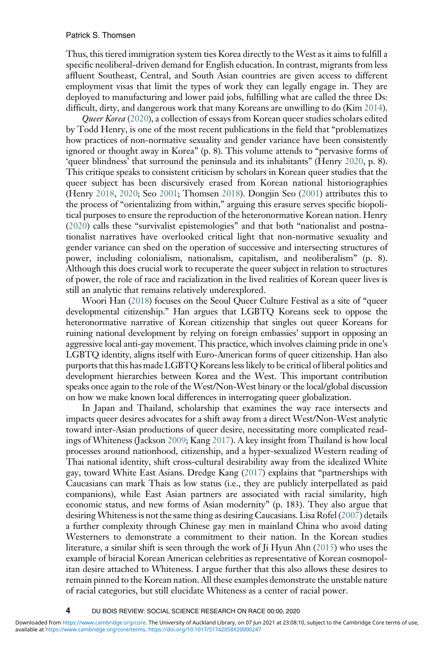Thus, this tiered immigration system ties Korea directly to the West as it aims to fulfill a specific neoliberal-driven demand for English education. In contrast, migrants from less affluent Southeast, Central, and South Asian countries are given access to different employment visas that limit the types of work they can legally engage in. They are deployed to manufacturing and lower paid jobs, fulfilling what are called the three Ds: difficult, dirty, and dangerous work that many Koreans are unwilling to do (Kim [2014\)](#page-15-11).

Queer Korea [\(2020\)](#page-15-2), a collection of essays from Korean queer studies scholars edited by Todd Henry, is one of the most recent publications in the field that "problematizes how practices of non-normative sexuality and gender variance have been consistently ignored or thought away in Korea" (p. 8). This volume attends to "pervasive forms of 'queer blindness' that surround the peninsula and its inhabitants" (Henry [2020](#page-15-2), p. 8). This critique speaks to consistent criticism by scholars in Korean queer studies that the queer subject has been discursively erased from Korean national historiographies (Henry [2018,](#page-15-12) [2020;](#page-15-2) Seo [2001](#page-16-8); Thomsen [2018\)](#page-17-2). Dongjin Seo [\(2001\)](#page-16-8) attributes this to the process of "orientalizing from within," arguing this erasure serves specific biopolitical purposes to ensure the reproduction of the heteronormative Korean nation. Henry ([2020](#page-15-2)) calls these "survivalist epistemologies" and that both "nationalist and postnationalist narratives have overlooked critical light that non-normative sexuality and gender variance can shed on the operation of successive and intersecting structures of power, including colonialism, nationalism, capitalism, and neoliberalism" (p. 8). Although this does crucial work to recuperate the queer subject in relation to structures of power, the role of race and racialization in the lived realities of Korean queer lives is still an analytic that remains relatively underexplored.

Woori Han [\(2018](#page-15-13)) focuses on the Seoul Queer Culture Festival as a site of "queer developmental citizenship." Han argues that LGBTQ Koreans seek to oppose the heteronormative narrative of Korean citizenship that singles out queer Koreans for ruining national development by relying on foreign embassies' support in opposing an aggressive local anti-gay movement. This practice, which involves claiming pride in one's LGBTQ identity, aligns itself with Euro-American forms of queer citizenship. Han also purports that this has made LGBTQ Koreans less likely to be critical of liberal politics and development hierarchies between Korea and the West. This important contribution speaks once again to the role of the West/Non-West binary or the local/global discussion on how we make known local differences in interrogating queer globalization.

In Japan and Thailand, scholarship that examines the way race intersects and impacts queer desires advocates for a shift away from a direct West/Non-West analytic toward inter-Asian productions of queer desire, necessitating more complicated readings of Whiteness (Jackson [2009](#page-15-0); Kang [2017](#page-15-5)). A key insight from Thailand is how local processes around nationhood, citizenship, and a hyper-sexualized Western reading of Thai national identity, shift cross-cultural desirability away from the idealized White gay, toward White East Asians. Dredge Kang [\(2017\)](#page-15-5) explains that "partnerships with Caucasians can mark Thais as low status (i.e., they are publicly interpellated as paid companions), while East Asian partners are associated with racial similarity, high economic status, and new forms of Asian modernity" (p. 183). They also argue that desiringWhiteness is not the same thing as desiring Caucasians. Lisa Rofel ([2007\)](#page-16-2) details a further complexity through Chinese gay men in mainland China who avoid dating Westerners to demonstrate a commitment to their nation. In the Korean studies literature, a similar shift is seen through the work of Ji Hyun Ahn [\(2015\)](#page-14-10) who uses the example of biracial Korean American celebrities as representative of Korean cosmopolitan desire attached to Whiteness. I argue further that this also allows these desires to remain pinned to the Korean nation. All these examples demonstrate the unstable nature of racial categories, but still elucidate Whiteness as a center of racial power.

4 DU BOIS REVIEW: SOCIAL SCIENCE RESEARCH ON RACE 00:00, 2020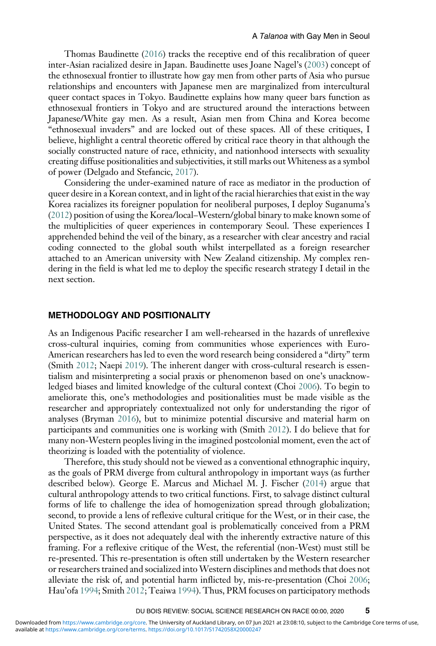Thomas Baudinette [\(2016](#page-14-5)) tracks the receptive end of this recalibration of queer inter-Asian racialized desire in Japan. Baudinette uses Joane Nagel's ([2003\)](#page-16-16) concept of the ethnosexual frontier to illustrate how gay men from other parts of Asia who pursue relationships and encounters with Japanese men are marginalized from intercultural queer contact spaces in Tokyo. Baudinette explains how many queer bars function as ethnosexual frontiers in Tokyo and are structured around the interactions between Japanese/White gay men. As a result, Asian men from China and Korea become "ethnosexual invaders" and are locked out of these spaces. All of these critiques, I believe, highlight a central theoretic offered by critical race theory in that although the socially constructed nature of race, ethnicity, and nationhood intersects with sexuality creating diffuse positionalities and subjectivities, it still marks out Whiteness as a symbol of power (Delgado and Stefancic, [2017\)](#page-15-4).

Considering the under-examined nature of race as mediator in the production of queer desire in a Korean context, and in light of the racial hierarchies that exist in the way Korea racializes its foreigner population for neoliberal purposes, I deploy Suganuma's ([2012](#page-17-1)) position of using the Korea/local–Western/global binary to make known some of the multiplicities of queer experiences in contemporary Seoul. These experiences I apprehended behind the veil of the binary, as a researcher with clear ancestry and racial coding connected to the global south whilst interpellated as a foreign researcher attached to an American university with New Zealand citizenship. My complex rendering in the field is what led me to deploy the specific research strategy I detail in the next section.

#### METHODOLOGY AND POSITIONALITY

As an Indigenous Pacific researcher I am well-rehearsed in the hazards of unreflexive cross-cultural inquiries, coming from communities whose experiences with Euro-American researchers has led to even the word research being considered a "dirty" term (Smith [2012](#page-16-17); Naepi [2019\)](#page-16-18). The inherent danger with cross-cultural research is essentialism and misinterpreting a social praxis or phenomenon based on one's unacknowledged biases and limited knowledge of the cultural context (Choi [2006](#page-15-14)). To begin to ameliorate this, one's methodologies and positionalities must be made visible as the researcher and appropriately contextualized not only for understanding the rigor of analyses (Bryman [2016\)](#page-14-11), but to minimize potential discursive and material harm on participants and communities one is working with (Smith [2012](#page-16-17)). I do believe that for many non-Western peoples living in the imagined postcolonial moment, even the act of theorizing is loaded with the potentiality of violence.

Therefore, this study should not be viewed as a conventional ethnographic inquiry, as the goals of PRM diverge from cultural anthropology in important ways (as further described below). George E. Marcus and Michael M. J. Fischer ([2014](#page-16-19)) argue that cultural anthropology attends to two critical functions. First, to salvage distinct cultural forms of life to challenge the idea of homogenization spread through globalization; second, to provide a lens of reflexive cultural critique for the West, or in their case, the United States. The second attendant goal is problematically conceived from a PRM perspective, as it does not adequately deal with the inherently extractive nature of this framing. For a reflexive critique of the West, the referential (non-West) must still be re-presented. This re-presentation is often still undertaken by the Western researcher or researchers trained and socialized into Western disciplines and methods that does not alleviate the risk of, and potential harm inflicted by, mis-re-presentation (Choi [2006;](#page-15-14) Hau'ofa [1994;](#page-15-15) Smith [2012](#page-16-17); Teaiwa [1994\)](#page-17-6). Thus, PRM focuses on participatory methods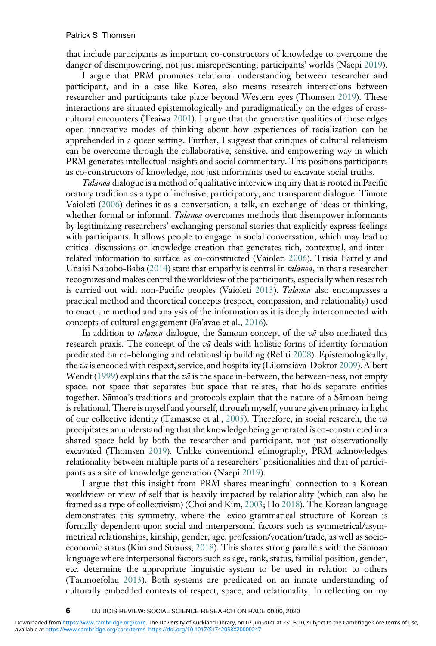that include participants as important co-constructors of knowledge to overcome the danger of disempowering, not just misrepresenting, participants' worlds (Naepi [2019\)](#page-16-18).

I argue that PRM promotes relational understanding between researcher and participant, and in a case like Korea, also means research interactions between researcher and participants take place beyond Western eyes (Thomsen [2019](#page-17-7)). These interactions are situated epistemologically and paradigmatically on the edges of crosscultural encounters (Teaiwa [2001\)](#page-17-8). I argue that the generative qualities of these edges open innovative modes of thinking about how experiences of racialization can be apprehended in a queer setting. Further, I suggest that critiques of cultural relativism can be overcome through the collaborative, sensitive, and empowering way in which PRM generates intellectual insights and social commentary. This positions participants as co-constructors of knowledge, not just informants used to excavate social truths.

Talanoa dialogue is a method of qualitative interview inquiry that is rooted in Pacific oratory tradition as a type of inclusive, participatory, and transparent dialogue. Timote Vaioleti [\(2006\)](#page-17-9) defines it as a conversation, a talk, an exchange of ideas or thinking, whether formal or informal. Talanoa overcomes methods that disempower informants by legitimizing researchers' exchanging personal stories that explicitly express feelings with participants. It allows people to engage in social conversation, which may lead to critical discussions or knowledge creation that generates rich, contextual, and interrelated information to surface as co-constructed (Vaioleti [2006](#page-17-9)). Trisia Farrelly and Unaisi Nabobo-Baba ([2014](#page-15-16)) state that empathy is central in *talanoa*, in that a researcher recognizes and makes central the worldview of the participants, especially when research is carried out with non-Pacific peoples (Vaioleti [2013](#page-17-10)). Talanoa also encompasses a practical method and theoretical concepts (respect, compassion, and relationality) used to enact the method and analysis of the information as it is deeply interconnected with concepts of cultural engagement (Fa'avae et al., [2016](#page-15-17)).

In addition to *talanoa* dialogue, the Samoan concept of the  $v\bar{a}$  also mediated this research praxis. The concept of the  $v\bar{a}$  deals with holistic forms of identity formation predicated on co-belonging and relationship building (Refiti [2008](#page-16-20)). Epistemologically, the vā is encoded with respect, service, and hospitality (Lilomaiava-Doktor [2009\)](#page-16-21). Albert Wendt [\(1999\)](#page-17-11) explains that the  $v\bar{a}$  is the space in-between, the between-ness, not empty space, not space that separates but space that relates, that holds separate entities together. Sāmoa's traditions and protocols explain that the nature of a Sāmoan being is relational. There is myself and yourself, through myself, you are given primacy in light of our collective identity (Tamasese et al., [2005](#page-17-12)). Therefore, in social research, the  $v\bar{a}$ precipitates an understanding that the knowledge being generated is co-constructed in a shared space held by both the researcher and participant, not just observationally excavated (Thomsen [2019](#page-17-7)). Unlike conventional ethnography, PRM acknowledges relationality between multiple parts of a researchers' positionalities and that of participants as a site of knowledge generation (Naepi [2019](#page-16-18)).

I argue that this insight from PRM shares meaningful connection to a Korean worldview or view of self that is heavily impacted by relationality (which can also be framed as a type of collectivism) (Choi and Kim, [2003](#page-15-18); Ho [2018](#page-15-19)). The Korean language demonstrates this symmetry, where the lexico-grammatical structure of Korean is formally dependent upon social and interpersonal factors such as symmetrical/asymmetrical relationships, kinship, gender, age, profession/vocation/trade, as well as socioeconomic status (Kim and Strauss,  $2018$ ). This shares strong parallels with the Samoan language where interpersonal factors such as age, rank, status, familial position, gender, etc. determine the appropriate linguistic system to be used in relation to others (Taumoefolau [2013](#page-17-13)). Both systems are predicated on an innate understanding of culturally embedded contexts of respect, space, and relationality. In reflecting on my

6 DU BOIS REVIEW: SOCIAL SCIENCE RESEARCH ON RACE 00:00, 2020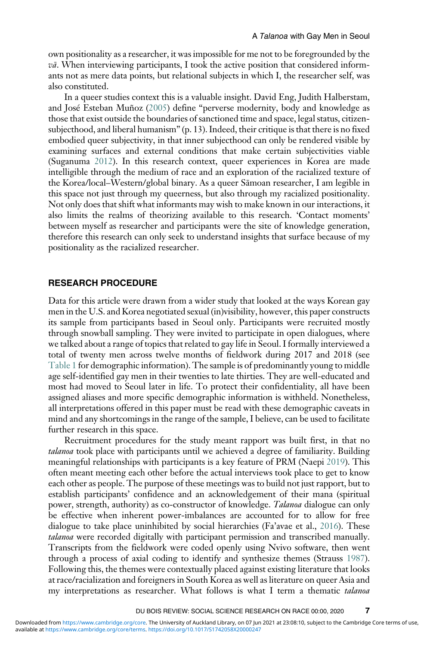own positionality as a researcher, it was impossible for me not to be foregrounded by the  $v\bar{a}$ . When interviewing participants, I took the active position that considered informants not as mere data points, but relational subjects in which I, the researcher self, was also constituted.

In a queer studies context this is a valuable insight. David Eng, Judith Halberstam, and José Esteban Muñoz ([2005](#page-15-20)) define "perverse modernity, body and knowledge as those that exist outside the boundaries of sanctioned time and space, legal status, citizensubjecthood, and liberal humanism" (p. 13). Indeed, their critique is that there is no fixed embodied queer subjectivity, in that inner subjecthood can only be rendered visible by examining surfaces and external conditions that make certain subjectivities viable (Suganuma [2012\)](#page-17-1). In this research context, queer experiences in Korea are made intelligible through the medium of race and an exploration of the racialized texture of the Korea/local–Western/global binary. As a queer Sāmoan researcher, I am legible in this space not just through my queerness, but also through my racialized positionality. Not only does that shift what informants may wish to make known in our interactions, it also limits the realms of theorizing available to this research. 'Contact moments' between myself as researcher and participants were the site of knowledge generation, therefore this research can only seek to understand insights that surface because of my positionality as the racialized researcher.

#### RESEARCH PROCEDURE

Data for this article were drawn from a wider study that looked at the ways Korean gay men in the U.S. and Korea negotiated sexual (in)visibility, however, this paper constructs its sample from participants based in Seoul only. Participants were recruited mostly through snowball sampling. They were invited to participate in open dialogues, where we talked about a range of topics that related to gay life in Seoul. I formally interviewed a total of twenty men across twelve months of fieldwork during 2017 and 2018 (see [Table 1](#page-7-0) for demographic information). The sample is of predominantly young to middle age self-identified gay men in their twenties to late thirties. They are well-educated and most had moved to Seoul later in life. To protect their confidentiality, all have been assigned aliases and more specific demographic information is withheld. Nonetheless, all interpretations offered in this paper must be read with these demographic caveats in mind and any shortcomings in the range of the sample, I believe, can be used to facilitate further research in this space.

Recruitment procedures for the study meant rapport was built first, in that no talanoa took place with participants until we achieved a degree of familiarity. Building meaningful relationships with participants is a key feature of PRM (Naepi [2019\)](#page-16-18). This often meant meeting each other before the actual interviews took place to get to know each other as people. The purpose of these meetings was to build not just rapport, but to establish participants' confidence and an acknowledgement of their mana (spiritual power, strength, authority) as co-constructor of knowledge. Talanoa dialogue can only be effective when inherent power-imbalances are accounted for to allow for free dialogue to take place uninhibited by social hierarchies (Fa'avae et al., [2016](#page-15-17)). These talanoa were recorded digitally with participant permission and transcribed manually. Transcripts from the fieldwork were coded openly using Nvivo software, then went through a process of axial coding to identify and synthesize themes (Strauss [1987\)](#page-16-23). Following this, the themes were contextually placed against existing literature that looks at race/racialization and foreigners in South Korea as well as literature on queer Asia and my interpretations as researcher. What follows is what I term a thematic talanoa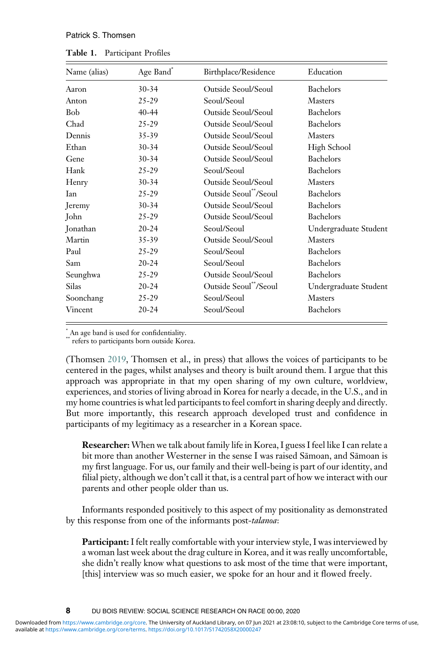#### Patrick S. Thomsen

<span id="page-7-0"></span>

| Name (alias) | Age Band* | Birthplace/Residence               | Education             |
|--------------|-----------|------------------------------------|-----------------------|
| Aaron        | $30 - 34$ | Outside Seoul/Seoul                | Bachelors             |
| Anton        | 25-29     | Seoul/Seoul                        | <b>Masters</b>        |
| <b>Bob</b>   | 40-44     | Outside Seoul/Seoul                | Bachelors             |
| Chad         | 25-29     | Outside Seoul/Seoul                | Bachelors             |
| Dennis       | 35-39     | Outside Seoul/Seoul                | <b>Masters</b>        |
| Ethan        | $30 - 34$ | Outside Seoul/Seoul                | High School           |
| Gene         | $30 - 34$ | Outside Seoul/Seoul                | Bachelors             |
| Hank         | 25-29     | Seoul/Seoul                        | Bachelors             |
| Henry        | $30 - 34$ | Outside Seoul/Seoul                | <b>Masters</b>        |
| <b>I</b> an  | $25 - 29$ | Outside Seoul**/Seoul              | Bachelors             |
| Jeremy       | $30 - 34$ | Outside Seoul/Seoul                | Bachelors             |
| John         | $25 - 29$ | Outside Seoul/Seoul                | <b>Bachelors</b>      |
| Jonathan     | $20 - 24$ | Seoul/Seoul                        | Undergraduate Student |
| Martin       | 35-39     | Outside Seoul/Seoul                | <b>Masters</b>        |
| Paul         | $25 - 29$ | Seoul/Seoul                        | Bachelors             |
| Sam          | $20 - 24$ | Seoul/Seoul                        | <b>Bachelors</b>      |
| Seunghwa     | 25-29     | Outside Seoul/Seoul                | Bachelors             |
| Silas        | $20 - 24$ | Outside Seoul <sup>**</sup> /Seoul | Undergraduate Student |
| Soonchang    | 25-29     | Seoul/Seoul                        | <b>Masters</b>        |
| Vincent      | $20 - 24$ | Seoul/Seoul                        | <b>Bachelors</b>      |
|              |           |                                    |                       |

Table 1. Participant Profiles

 $*_{**}$ An age band is used for confidentiality.

refers to participants born outside Korea.

(Thomsen [2019,](#page-17-7) Thomsen et al., in press) that allows the voices of participants to be centered in the pages, whilst analyses and theory is built around them. I argue that this approach was appropriate in that my open sharing of my own culture, worldview, experiences, and stories of living abroad in Korea for nearly a decade, in the U.S., and in my home countries is what led participants to feel comfort in sharing deeply and directly. But more importantly, this research approach developed trust and confidence in participants of my legitimacy as a researcher in a Korean space.

Researcher: When we talk about family life in Korea, I guess I feel like I can relate a bit more than another Westerner in the sense I was raised Sāmoan, and Sāmoan is my first language. For us, our family and their well-being is part of our identity, and filial piety, although we don't call it that, is a central part of how we interact with our parents and other people older than us.

Informants responded positively to this aspect of my positionality as demonstrated by this response from one of the informants post-talanoa:

Participant: I felt really comfortable with your interview style, I was interviewed by a woman last week about the drag culture in Korea, and it was really uncomfortable, she didn't really know what questions to ask most of the time that were important, [this] interview was so much easier, we spoke for an hour and it flowed freely.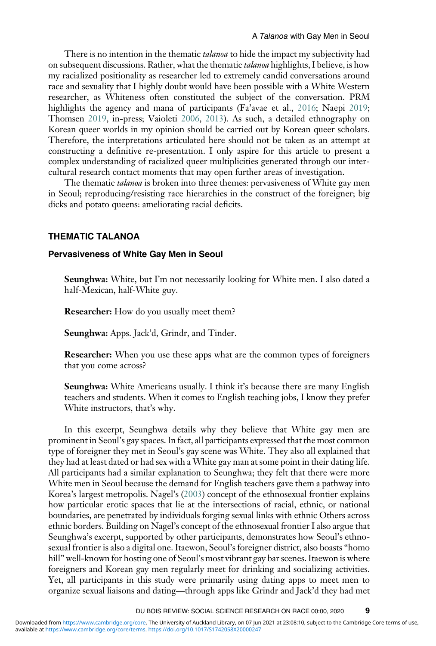There is no intention in the thematic *talanoa* to hide the impact my subjectivity had on subsequent discussions. Rather, what the thematic *talanoa* highlights, I believe, is how my racialized positionality as researcher led to extremely candid conversations around race and sexuality that I highly doubt would have been possible with a White Western researcher, as Whiteness often constituted the subject of the conversation. PRM highlights the agency and mana of participants (Fa'avae et al., [2016](#page-15-17); Naepi [2019;](#page-16-18) Thomsen [2019,](#page-17-7) in-press; Vaioleti [2006](#page-17-9), [2013](#page-17-10)). As such, a detailed ethnography on Korean queer worlds in my opinion should be carried out by Korean queer scholars. Therefore, the interpretations articulated here should not be taken as an attempt at constructing a definitive re-presentation. I only aspire for this article to present a complex understanding of racialized queer multiplicities generated through our intercultural research contact moments that may open further areas of investigation.

The thematic *talanoa* is broken into three themes: pervasiveness of White gay men in Seoul; reproducing/resisting race hierarchies in the construct of the foreigner; big dicks and potato queens: ameliorating racial deficits.

#### THEMATIC TALANOA

#### Pervasiveness of White Gay Men in Seoul

Seunghwa: White, but I'm not necessarily looking for White men. I also dated a half-Mexican, half-White guy.

Researcher: How do you usually meet them?

Seunghwa: Apps. Jack'd, Grindr, and Tinder.

Researcher: When you use these apps what are the common types of foreigners that you come across?

Seunghwa: White Americans usually. I think it's because there are many English teachers and students. When it comes to English teaching jobs, I know they prefer White instructors, that's why.

In this excerpt, Seunghwa details why they believe that White gay men are prominent in Seoul's gay spaces. In fact, all participants expressed that the most common type of foreigner they met in Seoul's gay scene was White. They also all explained that they had at least dated or had sex with a White gay man at some point in their dating life. All participants had a similar explanation to Seunghwa; they felt that there were more White men in Seoul because the demand for English teachers gave them a pathway into Korea's largest metropolis. Nagel's ([2003](#page-16-16)) concept of the ethnosexual frontier explains how particular erotic spaces that lie at the intersections of racial, ethnic, or national boundaries, are penetrated by individuals forging sexual links with ethnic Others across ethnic borders. Building on Nagel's concept of the ethnosexual frontier I also argue that Seunghwa's excerpt, supported by other participants, demonstrates how Seoul's ethnosexual frontier is also a digital one. Itaewon, Seoul's foreigner district, also boasts "homo hill" well-known for hosting one of Seoul's most vibrant gay bar scenes. Itaewon is where foreigners and Korean gay men regularly meet for drinking and socializing activities. Yet, all participants in this study were primarily using dating apps to meet men to organize sexual liaisons and dating—through apps like Grindr and Jack'd they had met

DU BOIS REVIEW: SOCIAL SCIENCE RESEARCH ON RACE 00:00, 2020 9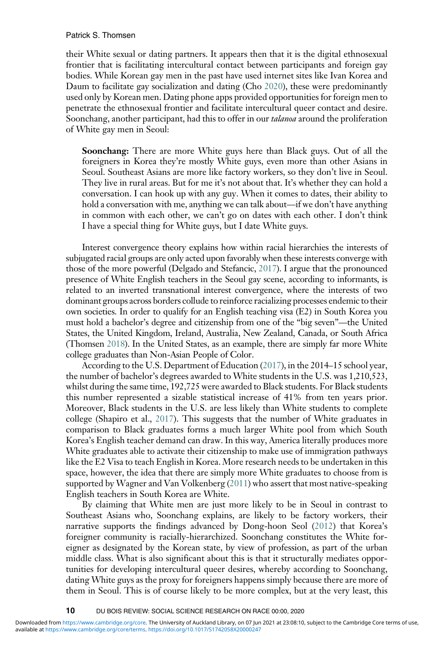#### Patrick S. Thomsen

their White sexual or dating partners. It appears then that it is the digital ethnosexual frontier that is facilitating intercultural contact between participants and foreign gay bodies. While Korean gay men in the past have used internet sites like Ivan Korea and Daum to facilitate gay socialization and dating (Cho [2020](#page-15-1)), these were predominantly used only by Korean men. Dating phone apps provided opportunities for foreign men to penetrate the ethnosexual frontier and facilitate intercultural queer contact and desire. Soonchang, another participant, had this to offer in our *talanoa* around the proliferation of White gay men in Seoul:

Soonchang: There are more White guys here than Black guys. Out of all the foreigners in Korea they're mostly White guys, even more than other Asians in Seoul. Southeast Asians are more like factory workers, so they don't live in Seoul. They live in rural areas. But for me it's not about that. It's whether they can hold a conversation. I can hook up with any guy. When it comes to dates, their ability to hold a conversation with me, anything we can talk about—if we don't have anything in common with each other, we can't go on dates with each other. I don't think I have a special thing for White guys, but I date White guys.

Interest convergence theory explains how within racial hierarchies the interests of subjugated racial groups are only acted upon favorably when these interests converge with those of the more powerful (Delgado and Stefancic, [2017](#page-15-4)). I argue that the pronounced presence of White English teachers in the Seoul gay scene, according to informants, is related to an inverted transnational interest convergence, where the interests of two dominant groups across borders collude to reinforce racializing processes endemic to their own societies. In order to qualify for an English teaching visa (E2) in South Korea you must hold a bachelor's degree and citizenship from one of the "big seven"—the United States, the United Kingdom, Ireland, Australia, New Zealand, Canada, or South Africa (Thomsen [2018](#page-17-2)). In the United States, as an example, there are simply far more White college graduates than Non-Asian People of Color.

According to the U.S. Department of Education [\(2017\)](#page-17-14), in the 2014–15 school year, the number of bachelor's degrees awarded to White students in the U.S. was 1,210,523, whilst during the same time, 192,725 were awarded to Black students. For Black students this number represented a sizable statistical increase of 41% from ten years prior. Moreover, Black students in the U.S. are less likely than White students to complete college (Shapiro et al., [2017\)](#page-16-24). This suggests that the number of White graduates in comparison to Black graduates forms a much larger White pool from which South Korea's English teacher demand can draw. In this way, America literally produces more White graduates able to activate their citizenship to make use of immigration pathways like the E2 Visa to teach English in Korea. More research needs to be undertaken in this space, however, the idea that there are simply more White graduates to choose from is supported by Wagner and Van Volkenberg [\(2011\)](#page-17-5) who assert that most native-speaking English teachers in South Korea are White.

By claiming that White men are just more likely to be in Seoul in contrast to Southeast Asians who, Soonchang explains, are likely to be factory workers, their narrative supports the findings advanced by Dong-hoon Seol ([2012](#page-16-12)) that Korea's foreigner community is racially-hierarchized. Soonchang constitutes the White foreigner as designated by the Korean state, by view of profession, as part of the urban middle class. What is also significant about this is that it structurally mediates opportunities for developing intercultural queer desires, whereby according to Soonchang, dating White guys as the proxy for foreigners happens simply because there are more of them in Seoul. This is of course likely to be more complex, but at the very least, this

<sup>10</sup> DU BOIS REVIEW: SOCIAL SCIENCE RESEARCH ON RACE 00:00, 2020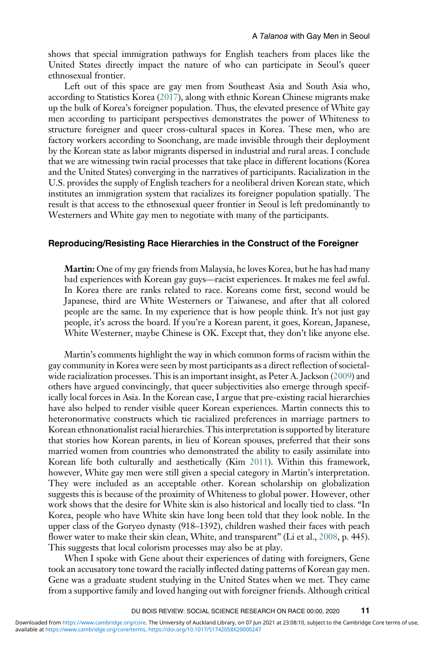shows that special immigration pathways for English teachers from places like the United States directly impact the nature of who can participate in Seoul's queer ethnosexual frontier.

Left out of this space are gay men from Southeast Asia and South Asia who, according to Statistics Korea [\(2017\)](#page-16-25), along with ethnic Korean Chinese migrants make up the bulk of Korea's foreigner population. Thus, the elevated presence of White gay men according to participant perspectives demonstrates the power of Whiteness to structure foreigner and queer cross-cultural spaces in Korea. These men, who are factory workers according to Soonchang, are made invisible through their deployment by the Korean state as labor migrants dispersed in industrial and rural areas. I conclude that we are witnessing twin racial processes that take place in different locations (Korea and the United States) converging in the narratives of participants. Racialization in the U.S. provides the supply of English teachers for a neoliberal driven Korean state, which institutes an immigration system that racializes its foreigner population spatially. The result is that access to the ethnosexual queer frontier in Seoul is left predominantly to Westerners and White gay men to negotiate with many of the participants.

#### Reproducing/Resisting Race Hierarchies in the Construct of the Foreigner

Martin: One of my gay friends from Malaysia, he loves Korea, but he has had many bad experiences with Korean gay guys—racist experiences. It makes me feel awful. In Korea there are ranks related to race. Koreans come first, second would be Japanese, third are White Westerners or Taiwanese, and after that all colored people are the same. In my experience that is how people think. It's not just gay people, it's across the board. If you're a Korean parent, it goes, Korean, Japanese, White Westerner, maybe Chinese is OK. Except that, they don't like anyone else.

Martin's comments highlight the way in which common forms of racism within the gay community in Korea were seen by most participants as a direct reflection of societalwide racialization processes. This is an important insight, as Peter A. Jackson ([2009](#page-15-0)) and others have argued convincingly, that queer subjectivities also emerge through specifically local forces in Asia. In the Korean case, I argue that pre-existing racial hierarchies have also helped to render visible queer Korean experiences. Martin connects this to heteronormative constructs which tie racialized preferences in marriage partners to Korean ethnonationalist racial hierarchies. This interpretation is supported by literature that stories how Korean parents, in lieu of Korean spouses, preferred that their sons married women from countries who demonstrated the ability to easily assimilate into Korean life both culturally and aesthetically (Kim [2011\)](#page-16-9). Within this framework, however, White gay men were still given a special category in Martin's interpretation. They were included as an acceptable other. Korean scholarship on globalization suggests this is because of the proximity of Whiteness to global power. However, other work shows that the desire for White skin is also historical and locally tied to class. "In Korea, people who have White skin have long been told that they look noble. In the upper class of the Goryeo dynasty (918–1392), children washed their faces with peach flower water to make their skin clean, White, and transparent" (Li et al., [2008](#page-16-26), p. 445). This suggests that local colorism processes may also be at play.

When I spoke with Gene about their experiences of dating with foreigners, Gene took an accusatory tone toward the racially inflected dating patterns of Korean gay men. Gene was a graduate student studying in the United States when we met. They came from a supportive family and loved hanging out with foreigner friends. Although critical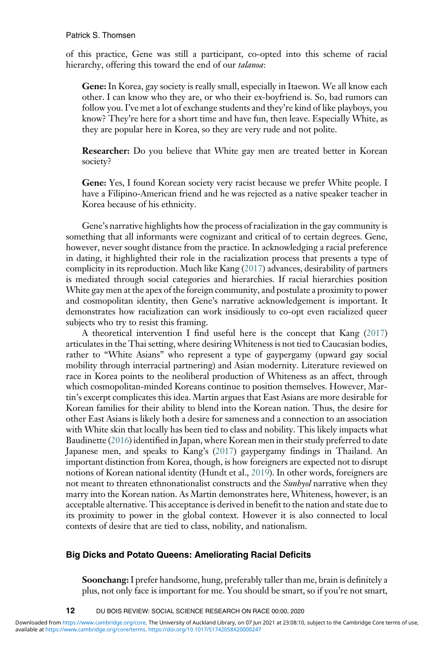of this practice, Gene was still a participant, co-opted into this scheme of racial hierarchy, offering this toward the end of our talanoa:

Gene: In Korea, gay society is really small, especially in Itaewon. We all know each other. I can know who they are, or who their ex-boyfriend is. So, bad rumors can follow you. I've met a lot of exchange students and they're kind of like playboys, you know? They're here for a short time and have fun, then leave. Especially White, as they are popular here in Korea, so they are very rude and not polite.

Researcher: Do you believe that White gay men are treated better in Korean society?

Gene: Yes, I found Korean society very racist because we prefer White people. I have a Filipino-American friend and he was rejected as a native speaker teacher in Korea because of his ethnicity.

Gene's narrative highlights how the process of racialization in the gay community is something that all informants were cognizant and critical of to certain degrees. Gene, however, never sought distance from the practice. In acknowledging a racial preference in dating, it highlighted their role in the racialization process that presents a type of complicity in its reproduction. Much like Kang [\(2017\)](#page-15-5) advances, desirability of partners is mediated through social categories and hierarchies. If racial hierarchies position White gay men at the apex of the foreign community, and postulate a proximity to power and cosmopolitan identity, then Gene's narrative acknowledgement is important. It demonstrates how racialization can work insidiously to co-opt even racialized queer subjects who try to resist this framing.

A theoretical intervention I find useful here is the concept that Kang ([2017](#page-15-5)) articulates in the Thai setting, where desiring Whiteness is not tied to Caucasian bodies, rather to "White Asians" who represent a type of gaypergamy (upward gay social mobility through interracial partnering) and Asian modernity. Literature reviewed on race in Korea points to the neoliberal production of Whiteness as an affect, through which cosmopolitan-minded Koreans continue to position themselves. However, Martin's excerpt complicates this idea. Martin argues that East Asians are more desirable for Korean families for their ability to blend into the Korean nation. Thus, the desire for other East Asians is likely both a desire for sameness and a connection to an association with White skin that locally has been tied to class and nobility. This likely impacts what Baudinette ([2016\)](#page-14-5) identified in Japan, where Korean men in their study preferred to date Japanese men, and speaks to Kang's [\(2017\)](#page-15-5) gaypergamy findings in Thailand. An important distinction from Korea, though, is how foreigners are expected not to disrupt notions of Korean national identity (Hundt et al., [2019](#page-15-8)). In other words, foreigners are not meant to threaten ethnonationalist constructs and the *Sunhyol* narrative when they marry into the Korean nation. As Martin demonstrates here, Whiteness, however, is an acceptable alternative. This acceptance is derived in benefit to the nation and state due to its proximity to power in the global context. However it is also connected to local contexts of desire that are tied to class, nobility, and nationalism.

#### Big Dicks and Potato Queens: Ameliorating Racial Deficits

Soonchang: I prefer handsome, hung, preferably taller than me, brain is definitely a plus, not only face is important for me. You should be smart, so if you're not smart,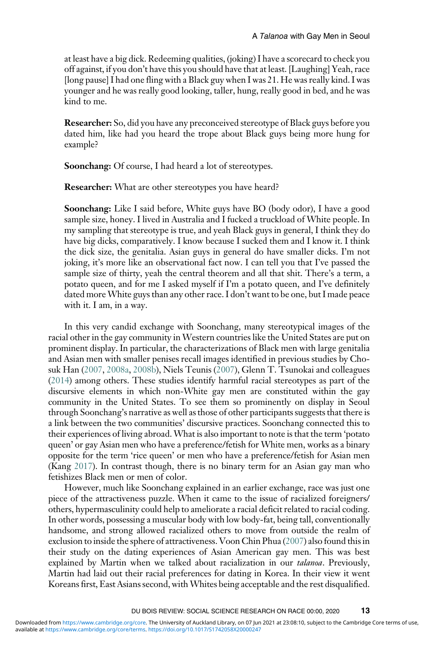at least have a big dick. Redeeming qualities, (joking) I have a scorecard to check you off against, if you don't have this you should have that at least. [Laughing] Yeah, race [long pause] I had one fling with a Black guy when I was 21. He was really kind. I was younger and he was really good looking, taller, hung, really good in bed, and he was kind to me.

Researcher: So, did you have any preconceived stereotype of Black guys before you dated him, like had you heard the trope about Black guys being more hung for example?

Soonchang: Of course, I had heard a lot of stereotypes.

Researcher: What are other stereotypes you have heard?

Soonchang: Like I said before, White guys have BO (body odor), I have a good sample size, honey. I lived in Australia and I fucked a truckload of White people. In my sampling that stereotype is true, and yeah Black guys in general, I think they do have big dicks, comparatively. I know because I sucked them and I know it. I think the dick size, the genitalia. Asian guys in general do have smaller dicks. I'm not joking, it's more like an observational fact now. I can tell you that I've passed the sample size of thirty, yeah the central theorem and all that shit. There's a term, a potato queen, and for me I asked myself if I'm a potato queen, and I've definitely dated more White guys than any other race. I don't want to be one, but I made peace with it. I am, in a way.

In this very candid exchange with Soonchang, many stereotypical images of the racial other in the gay community in Western countries like the United States are put on prominent display. In particular, the characterizations of Black men with large genitalia and Asian men with smaller penises recall images identified in previous studies by Chosuk Han ([2007](#page-15-7), [2008a,](#page-15-21) [2008b](#page-15-22)), Niels Teunis [\(2007\)](#page-17-15), Glenn T. Tsunokai and colleagues ([2014](#page-17-16)) among others. These studies identify harmful racial stereotypes as part of the discursive elements in which non-White gay men are constituted within the gay community in the United States. To see them so prominently on display in Seoul through Soonchang's narrative as well as those of other participants suggests that there is a link between the two communities' discursive practices. Soonchang connected this to their experiences of living abroad. What is also important to note is that the term 'potato queen' or gay Asian men who have a preference/fetish for White men, works as a binary opposite for the term 'rice queen' or men who have a preference/fetish for Asian men (Kang [2017](#page-15-5)). In contrast though, there is no binary term for an Asian gay man who fetishizes Black men or men of color.

However, much like Soonchang explained in an earlier exchange, race was just one piece of the attractiveness puzzle. When it came to the issue of racialized foreigners/ others, hypermasculinity could help to ameliorate a racial deficit related to racial coding. In other words, possessing a muscular body with low body-fat, being tall, conventionally handsome, and strong allowed racialized others to move from outside the realm of exclusion to inside the sphere of attractiveness. Voon Chin Phua ([2007\)](#page-16-27) also found this in their study on the dating experiences of Asian American gay men. This was best explained by Martin when we talked about racialization in our talanoa. Previously, Martin had laid out their racial preferences for dating in Korea. In their view it went Koreans first, East Asians second, with Whites being acceptable and the rest disqualified.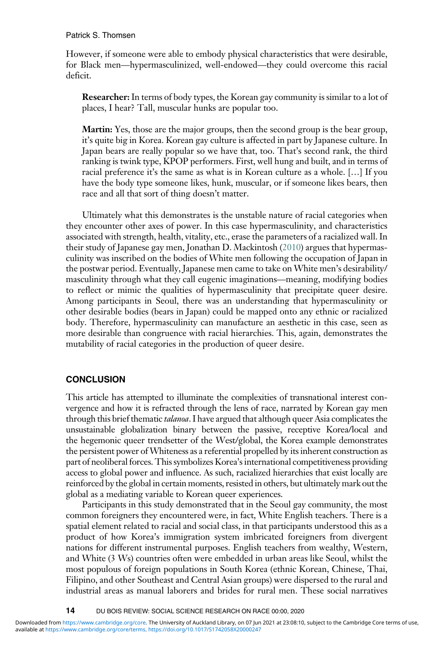#### Patrick S. Thomsen

However, if someone were able to embody physical characteristics that were desirable, for Black men—hypermasculinized, well-endowed—they could overcome this racial deficit.

Researcher: In terms of body types, the Korean gay community is similar to a lot of places, I hear? Tall, muscular hunks are popular too.

Martin: Yes, those are the major groups, then the second group is the bear group, it's quite big in Korea. Korean gay culture is affected in part by Japanese culture. In Japan bears are really popular so we have that, too. That's second rank, the third ranking is twink type, KPOP performers. First, well hung and built, and in terms of racial preference it's the same as what is in Korean culture as a whole. […] If you have the body type someone likes, hunk, muscular, or if someone likes bears, then race and all that sort of thing doesn't matter.

Ultimately what this demonstrates is the unstable nature of racial categories when they encounter other axes of power. In this case hypermasculinity, and characteristics associated with strength, health, vitality, etc., erase the parameters of a racialized wall. In their study of Japanese gay men, Jonathan D. Mackintosh [\(2010](#page-16-4)) argues that hypermasculinity was inscribed on the bodies of White men following the occupation of Japan in the postwar period. Eventually, Japanese men came to take on White men's desirability/ masculinity through what they call eugenic imaginations—meaning, modifying bodies to reflect or mimic the qualities of hypermasculinity that precipitate queer desire. Among participants in Seoul, there was an understanding that hypermasculinity or other desirable bodies (bears in Japan) could be mapped onto any ethnic or racialized body. Therefore, hypermasculinity can manufacture an aesthetic in this case, seen as more desirable than congruence with racial hierarchies. This, again, demonstrates the mutability of racial categories in the production of queer desire.

#### **CONCLUSION**

This article has attempted to illuminate the complexities of transnational interest convergence and how it is refracted through the lens of race, narrated by Korean gay men through this brief thematic *talanoa*. I have argued that although queer Asia complicates the unsustainable globalization binary between the passive, receptive Korea/local and the hegemonic queer trendsetter of the West/global, the Korea example demonstrates the persistent power of Whiteness as a referential propelled by its inherent construction as part of neoliberal forces. This symbolizes Korea's international competitiveness providing access to global power and influence. As such, racialized hierarchies that exist locally are reinforced by the global in certain moments, resisted in others, but ultimately mark out the global as a mediating variable to Korean queer experiences.

Participants in this study demonstrated that in the Seoul gay community, the most common foreigners they encountered were, in fact, White English teachers. There is a spatial element related to racial and social class, in that participants understood this as a product of how Korea's immigration system imbricated foreigners from divergent nations for different instrumental purposes. English teachers from wealthy, Western, and White (3 Ws) countries often were embedded in urban areas like Seoul, whilst the most populous of foreign populations in South Korea (ethnic Korean, Chinese, Thai, Filipino, and other Southeast and Central Asian groups) were dispersed to the rural and industrial areas as manual laborers and brides for rural men. These social narratives

14 DU BOIS REVIEW: SOCIAL SCIENCE RESEARCH ON RACE 00:00, 2020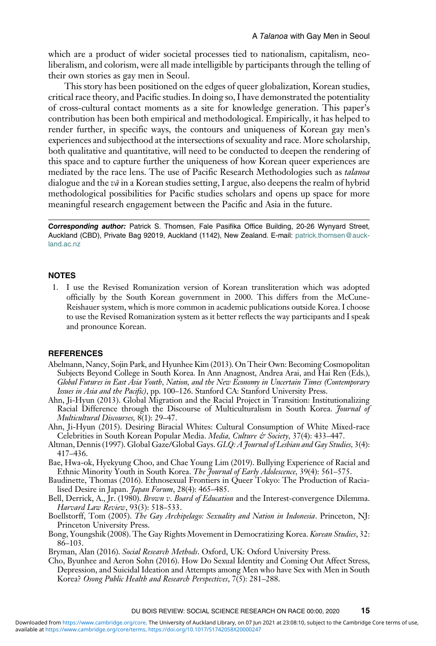which are a product of wider societal processes tied to nationalism, capitalism, neoliberalism, and colorism, were all made intelligible by participants through the telling of their own stories as gay men in Seoul.

This story has been positioned on the edges of queer globalization, Korean studies, critical race theory, and Pacific studies. In doing so, I have demonstrated the potentiality of cross-cultural contact moments as a site for knowledge generation. This paper's contribution has been both empirical and methodological. Empirically, it has helped to render further, in specific ways, the contours and uniqueness of Korean gay men's experiences and subjecthood at the intersections of sexuality and race. More scholarship, both qualitative and quantitative, will need to be conducted to deepen the rendering of this space and to capture further the uniqueness of how Korean queer experiences are mediated by the race lens. The use of Pacific Research Methodologies such as talanoa dialogue and the  $v\bar{a}$  in a Korean studies setting, I argue, also deepens the realm of hybrid methodological possibilities for Pacific studies scholars and opens up space for more meaningful research engagement between the Pacific and Asia in the future.

Corresponding author: Patrick S. Thomsen, Fale Pasifika Office Building, 20-26 Wynyard Street, Auckland (CBD), Private Bag 92019, Auckland (1142), New Zealand. E-mail: [patrick.thomsen@auck](mailto:patrick.thomsen@auckland.ac.nz)[land.ac.nz](mailto:patrick.thomsen@auckland.ac.nz)

#### <span id="page-14-2"></span>**NOTES**

1. I use the Revised Romanization version of Korean transliteration which was adopted officially by the South Korean government in 2000. This differs from the McCune-Reishauer system, which is more common in academic publications outside Korea. I choose to use the Revised Romanization system as it better reflects the way participants and I speak and pronounce Korean.

#### <span id="page-14-1"></span>**REFERENCES**

- Abelmann, Nancy, Sojin Park, and Hyunhee Kim (2013). On Their Own: Becoming Cosmopolitan Subjects Beyond College in South Korea. In Ann Anagnost, Andrea Arai, and Hai Ren (Eds.), Global Futures in East Asia Youth, Nation, and the New Economy in Uncertain Times (Contemporary Issues in Asia and the Pacific), pp. 100–126. Stanford CA: Stanford University Press.
- <span id="page-14-9"></span>Ahn, Ji-Hyun (2013). Global Migration and the Racial Project in Transition: Institutionalizing Racial Difference through the Discourse of Multiculturalism in South Korea. *Journal of* Multicultural Discourses, 8(1): 29–47.
- <span id="page-14-10"></span><span id="page-14-0"></span>Ahn, Ji-Hyun (2015). Desiring Biracial Whites: Cultural Consumption of White Mixed-race Celebrities in South Korean Popular Media. Media, Culture & Society, 37(4): 433-447.
- <span id="page-14-8"></span>Altman, Dennis (1997). Global Gaze/Global Gays. GLQ: A Journal of Lesbian and Gay Studies, 3(4): 417–436.
- <span id="page-14-5"></span>Bae, Hwa-ok, Hyekyung Choo, and Chae Young Lim (2019). Bullying Experience of Racial and Ethnic Minority Youth in South Korea. The Journal of Early Adolescence, 39(4): 561–575.
- <span id="page-14-4"></span>Baudinette, Thomas (2016). Ethnosexual Frontiers in Queer Tokyo: The Production of Racialised Desire in Japan. *Japan Forum*, 28(4): 465-485.
- <span id="page-14-3"></span>Bell, Derrick, A., Jr. (1980). *Brown v. Board of Education* and the Interest-convergence Dilemma. Harvard Law Review, 93(3): 518–533.
- <span id="page-14-6"></span>Boellstorff, Tom (2005). The Gay Archipelago: Sexuality and Nation in Indonesia. Princeton, NJ: Princeton University Press.
- <span id="page-14-11"></span>Bong, Youngshik (2008). The Gay Rights Movement in Democratizing Korea. Korean Studies, 32: 86–103.
- <span id="page-14-7"></span>Bryman, Alan (2016). Social Research Methods. Oxford, UK: Oxford University Press.
- Cho, Byunhee and Aeron Sohn (2016). How Do Sexual Identity and Coming Out Affect Stress, Depression, and Suicidal Ideation and Attempts among Men who have Sex with Men in South Korea? Osong Public Health and Research Perspectives, 7(5): 281–288.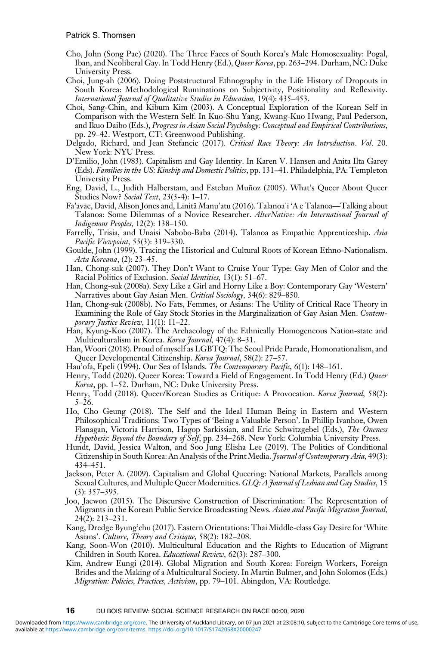- <span id="page-15-1"></span>Cho, John (Song Pae) (2020). The Three Faces of South Korea's Male Homosexuality: Pogal, Iban, and Neoliberal Gay. In Todd Henry (Ed.), Queer Korea, pp. 263–294. Durham, NC: Duke University Press.
- <span id="page-15-14"></span>Choi, Jung‐ah (2006). Doing Poststructural Ethnography in the Life History of Dropouts in South Korea: Methodological Ruminations on Subjectivity, Positionality and Reflexivity. International Journal of Qualitative Studies in Education, 19(4): 435–453.
- <span id="page-15-18"></span>Choi, Sang-Chin, and Kibum Kim (2003). A Conceptual Exploration of the Korean Self in Comparison with the Western Self. In Kuo-Shu Yang, Kwang-Kuo Hwang, Paul Pederson, and Ikuo Daibo (Eds.), Progress in Asian Social Psychology: Conceptual and Empirical Contributions, pp. 29–42. Westport, CT: Greenwood Publishing.
- <span id="page-15-4"></span>Delgado, Richard, and Jean Stefancic (2017). Critical Race Theory: An Introduction. Vol. 20. New York: NYU Press.
- <span id="page-15-3"></span>D'Emilio, John (1983). Capitalism and Gay Identity. In Karen V. Hansen and Anita Ilta Garey (Eds). Families in the US: Kinship and Domestic Politics, pp. 131–41. Philadelphia, PA: Templeton University Press.
- <span id="page-15-20"></span>Eng, David, L., Judith Halberstam, and Esteban Muñoz (2005). What's Queer About Queer Studies Now? Social Text, 23(3-4): 1-17.
- <span id="page-15-17"></span>Fa'avae, David, Alison Jones and, Linitā Manu'atu (2016). Talanoa'i 'A e Talanoa—Talking about Talanoa: Some Dilemmas of a Novice Researcher. AlterNative: An International Journal of Indigenous Peoples, 12(2): 138–150.
- <span id="page-15-16"></span>Farrelly, Trisia, and Unaisi Nabobo-Baba (2014). Talanoa as Empathic Apprenticeship. Asia Pacific Viewpoint, 55(3): 319–330.
- <span id="page-15-6"></span>Goulde, John (1999). Tracing the Historical and Cultural Roots of Korean Ethno-Nationalism. Acta Koreana, (2): 23–45.
- <span id="page-15-7"></span>Han, Chong-suk (2007). They Don't Want to Cruise Your Type: Gay Men of Color and the Racial Politics of Exclusion. Social Identities, 13(1): 51–67.
- <span id="page-15-21"></span>Racial Politics of Exclusion. Social Identities, 13(1): 51–67.<br>Han, Chong-suk (2008a). Sexy Like a Girl and Horny Like a Boy: Contemporary Gay 'Western'<br>Narratives about Gay Asian Men. *Critical Sociology*, 34(6): 829–850. Narratives about Gay Asian Men. Critical Sociology, 34(6): 829-850.<br>Han, Chong-suk (2008b). No Fats, Femmes, or Asians: The Utility of Critical Race Theory in
- <span id="page-15-22"></span>Examining the Role of Gay Stock Stories in the Marginalization of Gay Asian Men. Contemporary Justice Review, 11(1): 11–22.
- Han, Kyung-Koo (2007). The Archaeology of the Ethnically Homogeneous Nation-state and Multiculturalism in Korea. Korea Journal, 47(4): 8-31.
- <span id="page-15-13"></span>Han,Woori (2018). Proud of myself as LGBTQ: The Seoul Pride Parade, Homonationalism, and Queer Developmental Citizenship. Korea Journal, 58(2): 27-57.
- <span id="page-15-15"></span>Hau'ofa, Epeli (1994). Our Sea of Islands. The Contemporary Pacific, 6(1): 148-161.
- <span id="page-15-2"></span>Henry, Todd (2020). Queer Korea: Toward a Field of Engagement. In Todd Henry (Ed.) Queer Korea, pp. 1-52. Durham, NC: Duke University Press.
- <span id="page-15-12"></span>Henry, Todd (2018). Queer/Korean Studies as Critique: A Provocation. Korea Journal, 58(2):  $5-26.$
- <span id="page-15-19"></span>Ho, Cho Geung (2018). The Self and the Ideal Human Being in Eastern and Western Philosophical Traditions: Two Types of 'Being a Valuable Person'. In Phillip Ivanhoe, Owen Flanagan, Victoria Harrison, Hagop Sarkissian, and Eric Schwitzgebel (Eds.), The Oneness Hypothesis: Beyond the Boundary of Self, pp. 234–268. New York: Columbia University Press.
- <span id="page-15-8"></span>Hundt, David, Jessica Walton, and Soo Jung Elisha Lee (2019). The Politics of Conditional Citizenship in South Korea: An Analysis of the Print Media. *Journal of Contemporary Asia*, 49(3): 434–451.
- <span id="page-15-0"></span>Jackson, Peter A. (2009). Capitalism and Global Queering: National Markets, Parallels among Sexual Cultures, and Multiple Queer Modernities. GLQ: A Journal of Lesbian and Gay Studies, 15 (3): 357–395.
- <span id="page-15-9"></span>Joo, Jaewon (2015). The Discursive Construction of Discrimination: The Representation of Migrants in the Korean Public Service Broadcasting News. Asian and Pacific Migration Journal, 24(2): 213–231.
- <span id="page-15-5"></span>Kang, Dredge Byung'chu (2017). Eastern Orientations: Thai Middle-class Gay Desire for 'White Asians'. Culture, Theory and Critique, 58(2): 182–208.
- <span id="page-15-10"></span>Kang, Soon‐Won (2010). Multicultural Education and the Rights to Education of Migrant Children in South Korea. Educational Review, 62(3): 287–300.
- <span id="page-15-11"></span>Kim, Andrew Eungi (2014). Global Migration and South Korea: Foreign Workers, Foreign Brides and the Making of a Multicultural Society. In Martin Bulmer, and John Solomos (Eds.) Migration: Policies, Practices, Activism, pp. 79-101. Abingdon, VA: Routledge.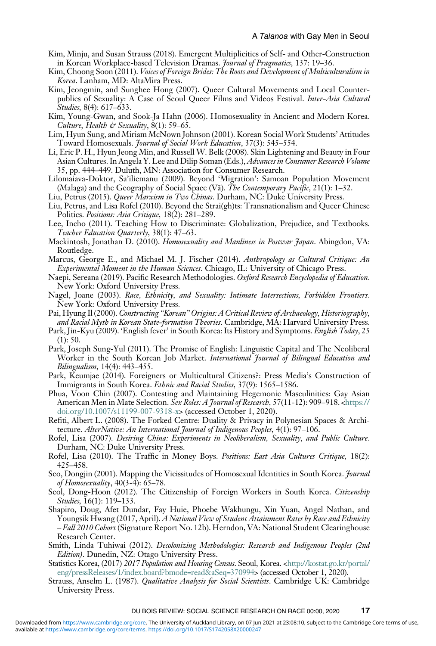- <span id="page-16-22"></span>Kim, Minju, and Susan Strauss (2018). Emergent Multiplicities of Self- and Other-Construction in Korean Workplace-based Television Dramas. Journal of Pragmatics, 137: 19–36.
- <span id="page-16-9"></span>Kim, Choong Soon (2011). Voices of Foreign Brides: The Roots and Development of Multiculturalism in Korea. Lanham, MD: AltaMira Press.
- <span id="page-16-5"></span>Kim, Jeongmin, and Sunghee Hong (2007). Queer Cultural Movements and Local Counterpublics of Sexuality: A Case of Seoul Queer Films and Videos Festival. Inter-Asia Cultural Studies, 8(4): 617–633.
- <span id="page-16-6"></span>Kim, Young-Gwan, and Sook-Ja Hahn (2006). Homosexuality in Ancient and Modern Korea. Culture, Health & Sexuality,  $8(1)$ : 59-65.
- <span id="page-16-7"></span>Lim, Hyun Sung, and Miriam McNown Johnson (2001). Korean Social Work Students' Attitudes Toward Homosexuals. Journal of Social Work Education, 37(3): 545-554.
- <span id="page-16-26"></span>Li, Eric P. H., Hyun Jeong Min, and Russell W. Belk (2008). Skin Lightening and Beauty in Four Asian Cultures. In Angela Y. Lee and Dilip Soman (Eds.), Advances in Consumer Research Volume 35, pp. 444–449. Duluth, MN: Association for Consumer Research.
- <span id="page-16-21"></span>Lilomaiava-Doktor, Sa'iliemanu (2009). Beyond 'Migration': Samoan Population Movement (Malaga) and the Geography of Social Space (Va). The Contemporary Pacific, 21(1): 1–32.

<span id="page-16-0"></span>Liu, Petrus (2015). Queer Marxism in Two Chinas. Durham, NC: Duke University Press.

- <span id="page-16-1"></span>Liu, Petrus, and Lisa Rofel (2010). Beyond the Strai(gh)ts: Transnationalism and Queer Chinese Politics. Positions: Asia Critique, 18(2): 281–289.
- <span id="page-16-13"></span>Lee, Incho (2011). Teaching How to Discriminate: Globalization, Prejudice, and Textbooks. Teacher Education Quarterly, 38(1): 47–63.
- <span id="page-16-4"></span>Mackintosh, Jonathan D. (2010). Homosexuality and Manliness in Postwar Japan. Abingdon, VA: Routledge.
- <span id="page-16-19"></span>Marcus, George E., and Michael M. J. Fischer (2014). Anthropology as Cultural Critique: An Experimental Moment in the Human Sciences. Chicago, IL: University of Chicago Press.
- <span id="page-16-18"></span>Naepi, Sereana (2019). Pacific Research Methodologies. Oxford Research Encyclopedia of Education. New York: Oxford University Press.
- <span id="page-16-16"></span>Nagel, Joane (2003). Race, Ethnicity, and Sexuality: Intimate Intersections, Forbidden Frontiers. New York: Oxford University Press.
- <span id="page-16-10"></span>Pai, Hyung Il (2000). Constructing "Korean" Origins: A Critical Review of Archaeology, Historiography, and Racial Myth in Korean State-formation Theories. Cambridge, MA: Harvard University Press.
- <span id="page-16-15"></span>Park, Jin-Kyu (2009). 'English fever' in South Korea: Its History and Symptoms. English Today, 25  $(1): 50.$
- <span id="page-16-14"></span>Park, Joseph Sung-Yul (2011). The Promise of English: Linguistic Capital and The Neoliberal Worker in the South Korean Job Market. International Journal of Bilingual Education and Bilingualism, 14(4): 443–455.
- <span id="page-16-11"></span>Park, Keumjae (2014). Foreigners or Multicultural Citizens?: Press Media's Construction of Immigrants in South Korea. Ethnic and Racial Studies, 37(9): 1565–1586.
- <span id="page-16-27"></span>Phua, Voon Chin (2007). Contesting and Maintaining Hegemonic Masculinities: Gay Asian American Men in Mate Selection. Sex Roles: A Journal of Research, 57(11-12): 909-918. <[https://](https://doi.org/10.1007/s11199-007-9318-x) [doi.org/10.1007/s11199-007-9318-x](https://doi.org/10.1007/s11199-007-9318-x)> (accessed October 1, 2020).
- <span id="page-16-20"></span>Refiti, Albert L. (2008). The Forked Centre: Duality & Privacy in Polynesian Spaces & Architecture. AlterNative: An International Journal of Indigenous Peoples, 4(1): 97-106.
- <span id="page-16-2"></span>Rofel, Lisa (2007). Desiring China: Experiments in Neoliberalism, Sexuality, and Public Culture. Durham, NC: Duke University Press.
- <span id="page-16-3"></span>Rofel, Lisa (2010). The Traffic in Money Boys. Positions: East Asia Cultures Critique, 18(2): 425–458.
- <span id="page-16-8"></span>Seo, Dongjin (2001). Mapping the Vicissitudes of Homosexual Identities in South Korea. *Journal* of Homosexuality, 40(3-4): 65–78.
- <span id="page-16-12"></span>Seol, Dong-Hoon (2012). The Citizenship of Foreign Workers in South Korea. Citizenship Studies, 16(1): 119–133.
- <span id="page-16-24"></span>Shapiro, Doug, Afet Dundar, Fay Huie, Phoebe Wakhungu, Xin Yuan, Angel Nathan, and Youngsik Hwang (2017, April). A National View of Student Attainment Rates by Race and Ethnicity – Fall 2010 Cohort (Signature Report No. 12b). Herndon, VA: National Student Clearinghouse Research Center.
- <span id="page-16-17"></span>Smith, Linda Tuhiwai (2012). Decolonizing Methodologies: Research and Indigenous Peoples (2nd Edition). Dunedin, NZ: Otago University Press.
- <span id="page-16-25"></span>Statistics Korea, (2017) 2017 Population and Housing Census. Seoul, Korea. [<http://kostat.go.kr/portal/](http://kostat.go.kr/portal/eng/pressReleases/1/index.board?bmode=readaSeq=370994) [eng/pressReleases/1/index.board?bmode=read&aSeq=370994>](http://kostat.go.kr/portal/eng/pressReleases/1/index.board?bmode=readaSeq=370994) (accessed October 1, 2020).
- <span id="page-16-23"></span>Strauss, Anselm L. (1987). *Qualitative Analysis for Social Scientists*. Cambridge UK: Cambridge University Press.